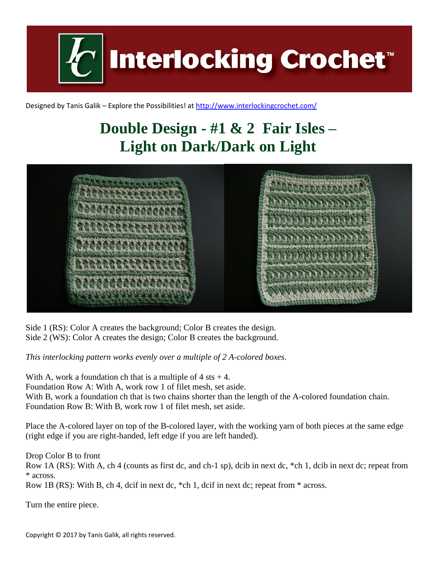

Designed by Tanis Galik – Explore the Possibilities! a[t http://www.interlockingcrochet.com/](http://www.interlockingcrochet.com/)

## **Double Design - #1 & 2 Fair Isles – Light on Dark/Dark on Light**



Side 1 (RS): Color A creates the background; Color B creates the design. Side 2 (WS): Color A creates the design; Color B creates the background.

*This interlocking pattern works evenly over a multiple of 2 A-colored boxes.*

With A, work a foundation ch that is a multiple of  $4$  sts  $+4$ . Foundation Row A: With A, work row 1 of filet mesh, set aside. With B, work a foundation ch that is two chains shorter than the length of the A-colored foundation chain. Foundation Row B: With B, work row 1 of filet mesh, set aside.

Place the A-colored layer on top of the B-colored layer, with the working yarn of both pieces at the same edge (right edge if you are right-handed, left edge if you are left handed).

Drop Color B to front

Row 1A (RS): With A, ch 4 (counts as first dc, and ch-1 sp), dcib in next dc, \*ch 1, dcib in next dc; repeat from \* across.

Row 1B (RS): With B, ch 4, dcif in next dc, \*ch 1, dcif in next dc; repeat from \* across.

Turn the entire piece.